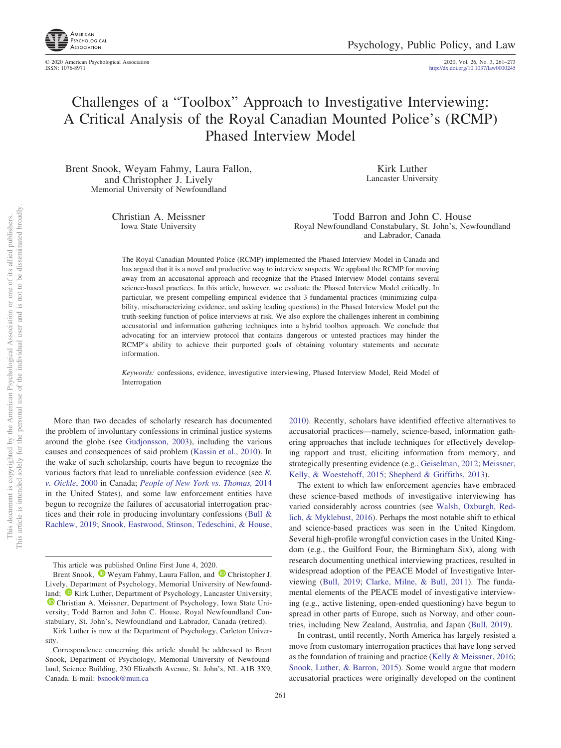

© 2020 American Psychological Association 2020, Vol. 26, No. 3, 261–273

http://dx.doi.org[/10.1037/law0000245](http://dx.doi.org/10.1037/law0000245)

# Challenges of a "Toolbox" Approach to Investigative Interviewing: A Critical Analysis of the Royal Canadian Mounted Police's (RCMP) Phased Interview Model

Brent Snook, Weyam Fahmy, Laura Fallon, and Christopher J. Lively Memorial University of Newfoundland

> Christian A. Meissner Iowa State University

Kirk Luther Lancaster University

Todd Barron and John C. House Royal Newfoundland Constabulary, St. John's, Newfoundland and Labrador, Canada

The Royal Canadian Mounted Police (RCMP) implemented the Phased Interview Model in Canada and has argued that it is a novel and productive way to interview suspects. We applaud the RCMP for moving away from an accusatorial approach and recognize that the Phased Interview Model contains several science-based practices. In this article, however, we evaluate the Phased Interview Model critically. In particular, we present compelling empirical evidence that 3 fundamental practices (minimizing culpability, mischaracterizing evidence, and asking leading questions) in the Phased Interview Model put the truth-seeking function of police interviews at risk. We also explore the challenges inherent in combining accusatorial and information gathering techniques into a hybrid toolbox approach. We conclude that advocating for an interview protocol that contains dangerous or untested practices may hinder the RCMP's ability to achieve their purported goals of obtaining voluntary statements and accurate information.

*Keywords:* confessions, evidence, investigative interviewing, Phased Interview Model, Reid Model of Interrogation

More than two decades of scholarly research has documented the problem of involuntary confessions in criminal justice systems around the globe (see [Gudjonsson, 2003\)](#page-10-0), including the various causes and consequences of said problem [\(Kassin et al., 2010\)](#page-11-0). In the wake of such scholarship, courts have begun to recognize the various factors that lead to unreliable confession evidence (see *[R.](#page-12-0) [v. Oickle](#page-12-0)*, 2000 in Canada; *[People of New York vs. Thomas,](#page-12-1)* 2014 in the United States), and some law enforcement entities have begun to recognize the failures of accusatorial interrogation practices and their role in producing involuntary confessions [\(Bull &](#page-10-1) [Rachlew, 2019;](#page-10-1) [Snook, Eastwood, Stinson, Tedeschini, & House,](#page-12-2)

[2010\)](#page-12-2). Recently, scholars have identified effective alternatives to accusatorial practices—namely, science-based, information gathering approaches that include techniques for effectively developing rapport and trust, eliciting information from memory, and strategically presenting evidence (e.g., [Geiselman, 2012;](#page-10-2) [Meissner,](#page-11-1) [Kelly, & Woestehoff, 2015;](#page-11-1) [Shepherd & Griffiths, 2013\)](#page-12-3).

The extent to which law enforcement agencies have embraced these science-based methods of investigative interviewing has varied considerably across countries (see [Walsh, Oxburgh, Red](#page-12-4)[lich, & Myklebust, 2016\)](#page-12-4). Perhaps the most notable shift to ethical and science-based practices was seen in the United Kingdom. Several high-profile wrongful conviction cases in the United Kingdom (e.g., the Guilford Four, the Birmingham Six), along with research documenting unethical interviewing practices, resulted in widespread adoption of the PEACE Model of Investigative Interviewing [\(Bull, 2019;](#page-10-3) [Clarke, Milne, & Bull, 2011\)](#page-10-4). The fundamental elements of the PEACE model of investigative interviewing (e.g., active listening, open-ended questioning) have begun to spread in other parts of Europe, such as Norway, and other countries, including New Zealand, Australia, and Japan [\(Bull, 2019\)](#page-10-3).

In contrast, until recently, North America has largely resisted a move from customary interrogation practices that have long served as the foundation of training and practice [\(Kelly & Meissner, 2016;](#page-11-2) [Snook, Luther, & Barron, 2015\)](#page-12-5). Some would argue that modern accusatorial practices were originally developed on the continent

This article was published Online First June 4, 2020.

Brent Snook, <sup>1</sup> [Weyam Fahmy,](https://orcid.org/0000-0002-9606-1873) Laura Fallon, and <sup>1</sup> [Christopher J.](https://orcid.org/0000-0002-8702-7542) [Lively,](https://orcid.org/0000-0002-8702-7542) Department of Psychology, Memorial University of Newfoundland;  $\bullet$  [Kirk Luther,](https://orcid.org/0000-0002-2067-9888) Department of Psychology, Lancaster University; <sup>1</sup> [Christian A. Meissner,](https://orcid.org/0000-0002-6094-5167) Department of Psychology, Iowa State University; Todd Barron and John C. House, Royal Newfoundland Constabulary, St. John's, Newfoundland and Labrador, Canada (retired).

Kirk Luther is now at the Department of Psychology, Carleton University.

Correspondence concerning this article should be addressed to Brent Snook, Department of Psychology, Memorial University of Newfoundland, Science Building, 230 Elizabeth Avenue, St. John's, NL A1B 3X9, Canada. E-mail: [bsnook@mun.ca](mailto:bsnook@mun.ca)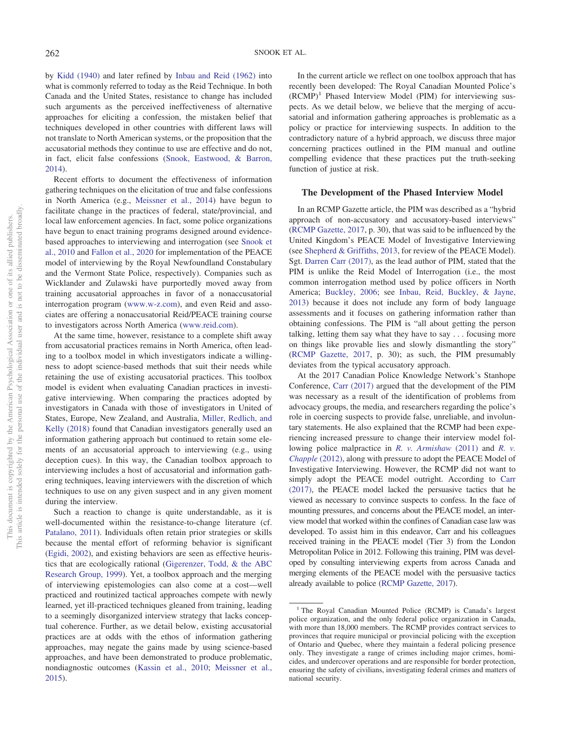by [Kidd \(1940\)](#page-11-3) and later refined by [Inbau and Reid \(1962\)](#page-11-4) into what is commonly referred to today as the Reid Technique. In both Canada and the United States, resistance to change has included such arguments as the perceived ineffectiveness of alternative approaches for eliciting a confession, the mistaken belief that techniques developed in other countries with different laws will not translate to North American systems, or the proposition that the accusatorial methods they continue to use are effective and do not, in fact, elicit false confessions [\(Snook, Eastwood, & Barron,](#page-12-6) [2014\)](#page-12-6).

Recent efforts to document the effectiveness of information gathering techniques on the elicitation of true and false confessions in North America (e.g., [Meissner et al., 2014\)](#page-11-5) have begun to facilitate change in the practices of federal, state/provincial, and local law enforcement agencies. In fact, some police organizations have begun to enact training programs designed around evidencebased approaches to interviewing and interrogation (see [Snook et](#page-12-2) [al., 2010](#page-12-2) and [Fallon et al., 2020](#page-10-5) for implementation of the PEACE model of interviewing by the Royal Newfoundland Constabulary and the Vermont State Police, respectively). Companies such as Wicklander and Zulawski have purportedly moved away from training accusatorial approaches in favor of a nonaccusatorial interrogation program [\(www.w-z.com\)](http://www.w-z.com), and even Reid and associates are offering a nonaccusatorial Reid/PEACE training course to investigators across North America [\(www.reid.com\)](http://www.reid.com).

At the same time, however, resistance to a complete shift away from accusatorial practices remains in North America, often leading to a toolbox model in which investigators indicate a willingness to adopt science-based methods that suit their needs while retaining the use of existing accusatorial practices. This toolbox model is evident when evaluating Canadian practices in investigative interviewing. When comparing the practices adopted by investigators in Canada with those of investigators in United of States, Europe, New Zealand, and Australia, [Miller, Redlich, and](#page-11-6) [Kelly \(2018\)](#page-11-6) found that Canadian investigators generally used an information gathering approach but continued to retain some elements of an accusatorial approach to interviewing (e.g., using deception cues). In this way, the Canadian toolbox approach to interviewing includes a host of accusatorial and information gathering techniques, leaving interviewers with the discretion of which techniques to use on any given suspect and in any given moment during the interview.

Such a reaction to change is quite understandable, as it is well-documented within the resistance-to-change literature (cf. [Patalano, 2011\)](#page-12-7). Individuals often retain prior strategies or skills because the mental effort of reforming behavior is significant [\(Egidi, 2002\)](#page-10-6), and existing behaviors are seen as effective heuristics that are ecologically rational [\(Gigerenzer, Todd, & the ABC](#page-10-7) [Research Group, 1999\)](#page-10-7). Yet, a toolbox approach and the merging of interviewing epistemologies can also come at a cost—well practiced and routinized tactical approaches compete with newly learned, yet ill-practiced techniques gleaned from training, leading to a seemingly disorganized interview strategy that lacks conceptual coherence. Further, as we detail below, existing accusatorial practices are at odds with the ethos of information gathering approaches, may negate the gains made by using science-based approaches, and have been demonstrated to produce problematic, nondiagnostic outcomes [\(Kassin et al., 2010;](#page-11-0) [Meissner et al.,](#page-11-1) [2015\)](#page-11-1).

In the current article we reflect on one toolbox approach that has recently been developed: The Royal Canadian Mounted Police's  $(RCMP)^1$  Phased Interview Model (PIM) for interviewing suspects. As we detail below, we believe that the merging of accusatorial and information gathering approaches is problematic as a policy or practice for interviewing suspects. In addition to the contradictory nature of a hybrid approach, we discuss three major concerning practices outlined in the PIM manual and outline compelling evidence that these practices put the truth-seeking function of justice at risk.

#### **The Development of the Phased Interview Model**

In an RCMP Gazette article, the PIM was described as a "hybrid approach of non-accusatory and accusatory-based interviews" [\(RCMP Gazette, 2017,](#page-12-8) p. 30), that was said to be influenced by the United Kingdom's PEACE Model of Investigative Interviewing (see [Shepherd & Griffiths, 2013,](#page-12-3) for review of the PEACE Model). Sgt. [Darren Carr \(2017\),](#page-10-8) as the lead author of PIM, stated that the PIM is unlike the Reid Model of Interrogation (i.e., the most common interrogation method used by police officers in North America; [Buckley, 2006;](#page-10-9) see [Inbau, Reid, Buckley, & Jayne,](#page-11-7) [2013\)](#page-11-7) because it does not include any form of body language assessments and it focuses on gathering information rather than obtaining confessions. The PIM is "all about getting the person talking, letting them say what they have to say . . . focusing more on things like provable lies and slowly dismantling the story" [\(RCMP Gazette, 2017,](#page-12-8) p. 30); as such, the PIM presumably deviates from the typical accusatory approach.

At the 2017 Canadian Police Knowledge Network's Stanhope Conference, [Carr \(2017\)](#page-10-8) argued that the development of the PIM was necessary as a result of the identification of problems from advocacy groups, the media, and researchers regarding the police's role in coercing suspects to provide false, unreliable, and involuntary statements. He also explained that the RCMP had been experiencing increased pressure to change their interview model following police malpractice in *[R. v. Armishaw](#page-12-9)* (2011) and *[R. v.](#page-12-10) [Chapple](#page-12-10)* (2012), along with pressure to adopt the PEACE Model of Investigative Interviewing. However, the RCMP did not want to simply adopt the PEACE model outright. According to [Carr](#page-10-8) [\(2017\),](#page-10-8) the PEACE model lacked the persuasive tactics that he viewed as necessary to convince suspects to confess. In the face of mounting pressures, and concerns about the PEACE model, an interview model that worked within the confines of Canadian case law was developed. To assist him in this endeavor, Carr and his colleagues received training in the PEACE model (Tier 3) from the London Metropolitan Police in 2012. Following this training, PIM was developed by consulting interviewing experts from across Canada and merging elements of the PEACE model with the persuasive tactics already available to police [\(RCMP Gazette, 2017\)](#page-12-8).

<sup>&</sup>lt;sup>1</sup> The Royal Canadian Mounted Police (RCMP) is Canada's largest police organization, and the only federal police organization in Canada, with more than 18,000 members. The RCMP provides contract services to provinces that require municipal or provincial policing with the exception of Ontario and Quebec, where they maintain a federal policing presence only. They investigate a range of crimes including major crimes, homicides, and undercover operations and are responsible for border protection, ensuring the safety of civilians, investigating federal crimes and matters of national security.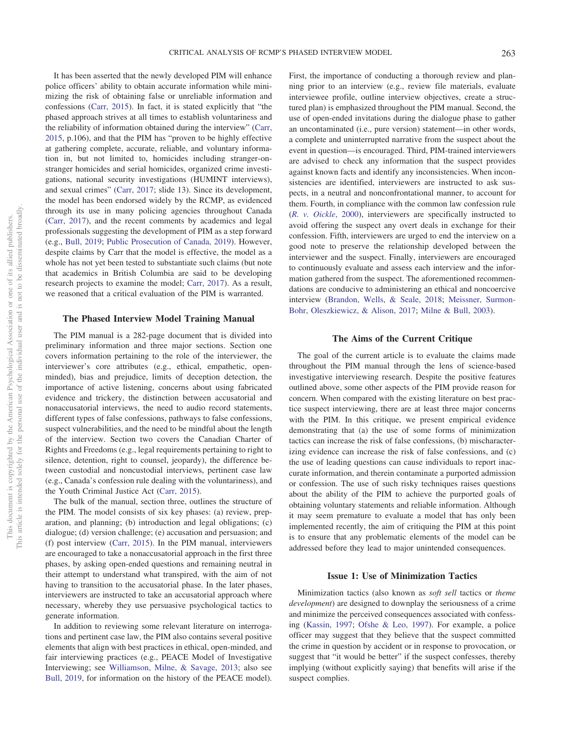It has been asserted that the newly developed PIM will enhance police officers' ability to obtain accurate information while minimizing the risk of obtaining false or unreliable information and confessions [\(Carr, 2015\)](#page-10-10). In fact, it is stated explicitly that "the phased approach strives at all times to establish voluntariness and the reliability of information obtained during the interview" [\(Carr,](#page-10-10) [2015,](#page-10-10) p.106), and that the PIM has "proven to be highly effective at gathering complete, accurate, reliable, and voluntary information in, but not limited to, homicides including stranger-onstranger homicides and serial homicides, organized crime investigations, national security investigations (HUMINT interviews), and sexual crimes" [\(Carr, 2017;](#page-10-8) slide 13). Since its development, the model has been endorsed widely by the RCMP, as evidenced through its use in many policing agencies throughout Canada [\(Carr, 2017\)](#page-10-8), and the recent comments by academics and legal professionals suggesting the development of PIM as a step forward (e.g., [Bull, 2019;](#page-10-3) [Public Prosecution of Canada, 2019\)](#page-12-11). However, despite claims by Carr that the model is effective, the model as a whole has not yet been tested to substantiate such claims (but note that academics in British Columbia are said to be developing research projects to examine the model; [Carr, 2017\)](#page-10-8). As a result, we reasoned that a critical evaluation of the PIM is warranted.

#### **The Phased Interview Model Training Manual**

The PIM manual is a 282-page document that is divided into preliminary information and three major sections. Section one covers information pertaining to the role of the interviewer, the interviewer's core attributes (e.g., ethical, empathetic, openminded), bias and prejudice, limits of deception detection, the importance of active listening, concerns about using fabricated evidence and trickery, the distinction between accusatorial and nonaccusatorial interviews, the need to audio record statements, different types of false confessions, pathways to false confessions, suspect vulnerabilities, and the need to be mindful about the length of the interview. Section two covers the Canadian Charter of Rights and Freedoms (e.g., legal requirements pertaining to right to silence, detention, right to counsel, jeopardy), the difference between custodial and noncustodial interviews, pertinent case law (e.g., Canada's confession rule dealing with the voluntariness), and the Youth Criminal Justice Act [\(Carr, 2015\)](#page-10-10).

The bulk of the manual, section three, outlines the structure of the PIM. The model consists of six key phases: (a) review, preparation, and planning; (b) introduction and legal obligations; (c) dialogue; (d) version challenge; (e) accusation and persuasion; and (f) post interview [\(Carr, 2015\)](#page-10-10). In the PIM manual, interviewers are encouraged to take a nonaccusatorial approach in the first three phases, by asking open-ended questions and remaining neutral in their attempt to understand what transpired, with the aim of not having to transition to the accusatorial phase. In the later phases, interviewers are instructed to take an accusatorial approach where necessary, whereby they use persuasive psychological tactics to generate information.

In addition to reviewing some relevant literature on interrogations and pertinent case law, the PIM also contains several positive elements that align with best practices in ethical, open-minded, and fair interviewing practices (e.g., PEACE Model of Investigative Interviewing; see [Williamson, Milne, & Savage, 2013;](#page-12-12) also see [Bull, 2019,](#page-10-3) for information on the history of the PEACE model).

First, the importance of conducting a thorough review and planning prior to an interview (e.g., review file materials, evaluate interviewee profile, outline interview objectives, create a structured plan) is emphasized throughout the PIM manual. Second, the use of open-ended invitations during the dialogue phase to gather an uncontaminated (i.e., pure version) statement—in other words, a complete and uninterrupted narrative from the suspect about the event in question—is encouraged. Third, PIM-trained interviewers are advised to check any information that the suspect provides against known facts and identify any inconsistencies. When inconsistencies are identified, interviewers are instructed to ask suspects, in a neutral and nonconfrontational manner, to account for them. Fourth, in compliance with the common law confession rule (*[R. v. Oickle](#page-12-0)*, 2000), interviewers are specifically instructed to avoid offering the suspect any overt deals in exchange for their confession. Fifth, interviewers are urged to end the interview on a good note to preserve the relationship developed between the interviewer and the suspect. Finally, interviewers are encouraged to continuously evaluate and assess each interview and the information gathered from the suspect. The aforementioned recommendations are conducive to administering an ethical and noncoercive interview [\(Brandon, Wells, & Seale, 2018;](#page-10-11) [Meissner, Surmon-](#page-11-8)[Bohr, Oleszkiewicz, & Alison, 2017;](#page-11-8) [Milne & Bull, 2003\)](#page-11-9).

## **The Aims of the Current Critique**

The goal of the current article is to evaluate the claims made throughout the PIM manual through the lens of science-based investigative interviewing research. Despite the positive features outlined above, some other aspects of the PIM provide reason for concern. When compared with the existing literature on best practice suspect interviewing, there are at least three major concerns with the PIM. In this critique, we present empirical evidence demonstrating that (a) the use of some forms of minimization tactics can increase the risk of false confessions, (b) mischaracterizing evidence can increase the risk of false confessions, and (c) the use of leading questions can cause individuals to report inaccurate information, and therein contaminate a purported admission or confession. The use of such risky techniques raises questions about the ability of the PIM to achieve the purported goals of obtaining voluntary statements and reliable information. Although it may seem premature to evaluate a model that has only been implemented recently, the aim of critiquing the PIM at this point is to ensure that any problematic elements of the model can be addressed before they lead to major unintended consequences.

## **Issue 1: Use of Minimization Tactics**

Minimization tactics (also known as *soft sell* tactics or *theme development*) are designed to downplay the seriousness of a crime and minimize the perceived consequences associated with confessing [\(Kassin, 1997;](#page-11-10) [Ofshe & Leo, 1997\)](#page-12-13). For example, a police officer may suggest that they believe that the suspect committed the crime in question by accident or in response to provocation, or suggest that "it would be better" if the suspect confesses, thereby implying (without explicitly saying) that benefits will arise if the suspect complies.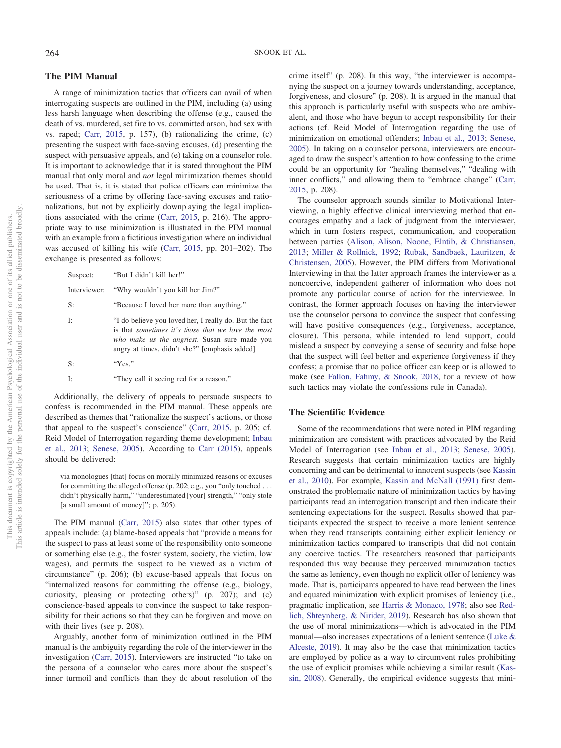## **The PIM Manual**

A range of minimization tactics that officers can avail of when interrogating suspects are outlined in the PIM, including (a) using less harsh language when describing the offense (e.g., caused the death of vs. murdered, set fire to vs. committed arson, had sex with vs. raped; [Carr, 2015,](#page-10-10) p. 157), (b) rationalizing the crime, (c) presenting the suspect with face-saving excuses, (d) presenting the suspect with persuasive appeals, and (e) taking on a counselor role. It is important to acknowledge that it is stated throughout the PIM manual that only moral and *not* legal minimization themes should be used. That is, it is stated that police officers can minimize the seriousness of a crime by offering face-saving excuses and rationalizations, but not by explicitly downplaying the legal implications associated with the crime [\(Carr, 2015,](#page-10-10) p. 216). The appropriate way to use minimization is illustrated in the PIM manual with an example from a fictitious investigation where an individual was accused of killing his wife [\(Carr, 2015,](#page-10-10) pp. 201–202). The exchange is presented as follows:

| Suspect: | "But I didn't kill her!"                                                                                                                                                                                       |
|----------|----------------------------------------------------------------------------------------------------------------------------------------------------------------------------------------------------------------|
|          | Interviewer: "Why wouldn't you kill her Jim?"                                                                                                                                                                  |
| S:       | "Because I loved her more than anything."                                                                                                                                                                      |
| Ŀ        | "I do believe you loved her, I really do. But the fact<br>is that sometimes it's those that we love the most<br>who make us the angriest. Susan sure made you<br>angry at times, didn't she?" [emphasis added] |
| S:       | "Yes."                                                                                                                                                                                                         |
| Ŀ        | "They call it seeing red for a reason."                                                                                                                                                                        |

Additionally, the delivery of appeals to persuade suspects to confess is recommended in the PIM manual. These appeals are described as themes that "rationalize the suspect's actions, or those that appeal to the suspect's conscience" [\(Carr, 2015,](#page-10-10) p. 205; cf. Reid Model of Interrogation regarding theme development; [Inbau](#page-11-7) [et al., 2013;](#page-11-7) [Senese, 2005\)](#page-12-14). According to [Carr \(2015\)](#page-10-10), appeals should be delivered:

via monologues [that] focus on morally minimized reasons or excuses for committing the alleged offense (p. 202; e.g., you "only touched . . . didn't physically harm**,**" "underestimated [your] strength," "only stole [a small amount of money]"; p. 205).

The PIM manual [\(Carr, 2015\)](#page-10-10) also states that other types of appeals include: (a) blame-based appeals that "provide a means for the suspect to pass at least some of the responsibility onto someone or something else (e.g., the foster system, society, the victim, low wages), and permits the suspect to be viewed as a victim of circumstance" (p. 206); (b) excuse-based appeals that focus on "internalized reasons for committing the offense (e.g., biology, curiosity, pleasing or protecting others)" (p. 207); and (c) conscience-based appeals to convince the suspect to take responsibility for their actions so that they can be forgiven and move on with their lives (see p. 208).

Arguably, another form of minimization outlined in the PIM manual is the ambiguity regarding the role of the interviewer in the investigation [\(Carr, 2015\)](#page-10-10). Interviewers are instructed "to take on the persona of a counselor who cares more about the suspect's inner turmoil and conflicts than they do about resolution of the crime itself" (p. 208). In this way, "the interviewer is accompanying the suspect on a journey towards understanding, acceptance, forgiveness, and closure" (p. 208). It is argued in the manual that this approach is particularly useful with suspects who are ambivalent, and those who have begun to accept responsibility for their actions (cf. Reid Model of Interrogation regarding the use of minimization on emotional offenders; [Inbau et al., 2013;](#page-11-7) [Senese,](#page-12-14) [2005\)](#page-12-14). In taking on a counselor persona, interviewers are encouraged to draw the suspect's attention to how confessing to the crime could be an opportunity for "healing themselves," "dealing with inner conflicts," and allowing them to "embrace change" [\(Carr,](#page-10-10) [2015,](#page-10-10) p. 208).

The counselor approach sounds similar to Motivational Interviewing, a highly effective clinical interviewing method that encourages empathy and a lack of judgment from the interviewer, which in turn fosters respect, communication, and cooperation between parties [\(Alison, Alison, Noone, Elntib, & Christiansen,](#page-10-12) [2013;](#page-10-12) [Miller & Rollnick, 1992;](#page-11-11) [Rubak, Sandbaek, Lauritzen, &](#page-12-15) [Christensen, 2005\)](#page-12-15). However, the PIM differs from Motivational Interviewing in that the latter approach frames the interviewer as a noncoercive, independent gatherer of information who does not promote any particular course of action for the interviewee. In contrast, the former approach focuses on having the interviewer use the counselor persona to convince the suspect that confessing will have positive consequences (e.g., forgiveness, acceptance, closure). This persona, while intended to lend support, could mislead a suspect by conveying a sense of security and false hope that the suspect will feel better and experience forgiveness if they confess; a promise that no police officer can keep or is allowed to make (see [Fallon, Fahmy, & Snook, 2018,](#page-10-13) for a review of how such tactics may violate the confessions rule in Canada).

## **The Scientific Evidence**

Some of the recommendations that were noted in PIM regarding minimization are consistent with practices advocated by the Reid Model of Interrogation (see [Inbau et al., 2013;](#page-11-7) [Senese, 2005\)](#page-12-14). Research suggests that certain minimization tactics are highly concerning and can be detrimental to innocent suspects (see [Kassin](#page-11-0) [et al., 2010\)](#page-11-0). For example, [Kassin and McNall \(1991\)](#page-11-12) first demonstrated the problematic nature of minimization tactics by having participants read an interrogation transcript and then indicate their sentencing expectations for the suspect. Results showed that participants expected the suspect to receive a more lenient sentence when they read transcripts containing either explicit leniency or minimization tactics compared to transcripts that did not contain any coercive tactics. The researchers reasoned that participants responded this way because they perceived minimization tactics the same as leniency, even though no explicit offer of leniency was made. That is, participants appeared to have read between the lines and equated minimization with explicit promises of leniency (i.e., pragmatic implication, see [Harris & Monaco, 1978;](#page-10-14) also see [Red](#page-12-16)[lich, Shteynberg, & Nirider, 2019\)](#page-12-16). Research has also shown that the use of moral minimizations—which is advocated in the PIM manual—also increases expectations of a lenient sentence [\(Luke &](#page-11-13) [Alceste, 2019\)](#page-11-13). It may also be the case that minimization tactics are employed by police as a way to circumvent rules prohibiting the use of explicit promises while achieving a similar result [\(Kas](#page-11-14)[sin, 2008\)](#page-11-14). Generally, the empirical evidence suggests that mini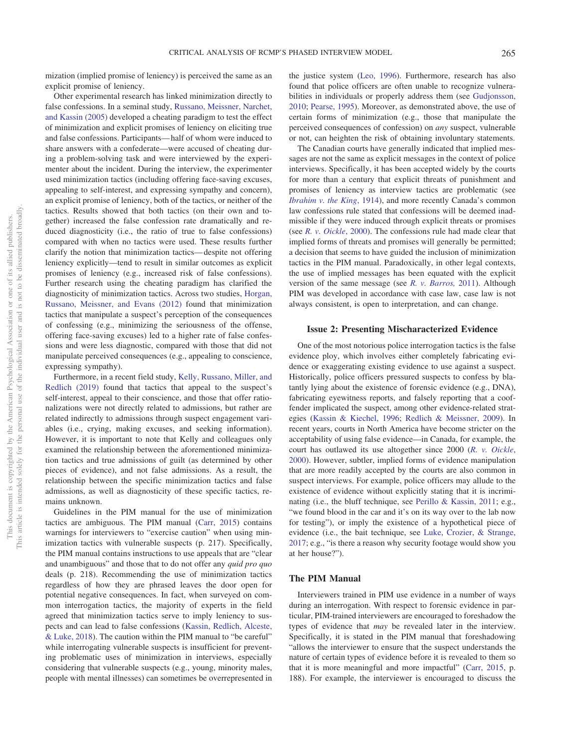mization (implied promise of leniency) is perceived the same as an explicit promise of leniency.

Other experimental research has linked minimization directly to false confessions. In a seminal study, [Russano, Meissner, Narchet,](#page-12-17) [and Kassin \(2005\)](#page-12-17) developed a cheating paradigm to test the effect of minimization and explicit promises of leniency on eliciting true and false confessions. Participants— half of whom were induced to share answers with a confederate—were accused of cheating during a problem-solving task and were interviewed by the experimenter about the incident. During the interview, the experimenter used minimization tactics (including offering face-saving excuses, appealing to self-interest, and expressing sympathy and concern), an explicit promise of leniency, both of the tactics, or neither of the tactics. Results showed that both tactics (on their own and together) increased the false confession rate dramatically and reduced diagnosticity (i.e., the ratio of true to false confessions) compared with when no tactics were used. These results further clarify the notion that minimization tactics— despite not offering leniency explicitly—tend to result in similar outcomes as explicit promises of leniency (e.g., increased risk of false confessions). Further research using the cheating paradigm has clarified the diagnosticity of minimization tactics. Across two studies, [Horgan,](#page-11-15) [Russano, Meissner, and Evans \(2012\)](#page-11-15) found that minimization tactics that manipulate a suspect's perception of the consequences of confessing (e.g., minimizing the seriousness of the offense, offering face-saving excuses) led to a higher rate of false confessions and were less diagnostic, compared with those that did not manipulate perceived consequences (e.g., appealing to conscience, expressing sympathy).

Furthermore, in a recent field study, [Kelly, Russano, Miller, and](#page-11-16) [Redlich \(2019\)](#page-11-16) found that tactics that appeal to the suspect's self-interest, appeal to their conscience, and those that offer rationalizations were not directly related to admissions, but rather are related indirectly to admissions through suspect engagement variables (i.e., crying, making excuses, and seeking information). However, it is important to note that Kelly and colleagues only examined the relationship between the aforementioned minimization tactics and true admissions of guilt (as determined by other pieces of evidence), and not false admissions. As a result, the relationship between the specific minimization tactics and false admissions, as well as diagnosticity of these specific tactics, remains unknown.

Guidelines in the PIM manual for the use of minimization tactics are ambiguous. The PIM manual [\(Carr, 2015\)](#page-10-10) contains warnings for interviewers to "exercise caution" when using minimization tactics with vulnerable suspects (p. 217). Specifically, the PIM manual contains instructions to use appeals that are "clear and unambiguous" and those that to do not offer any *quid pro quo* deals (p. 218). Recommending the use of minimization tactics regardless of how they are phrased leaves the door open for potential negative consequences. In fact, when surveyed on common interrogation tactics, the majority of experts in the field agreed that minimization tactics serve to imply leniency to suspects and can lead to false confessions [\(Kassin, Redlich, Alceste,](#page-11-17) [& Luke, 2018\)](#page-11-17). The caution within the PIM manual to "be careful" while interrogating vulnerable suspects is insufficient for preventing problematic uses of minimization in interviews, especially considering that vulnerable suspects (e.g., young, minority males, people with mental illnesses) can sometimes be overrepresented in

the justice system [\(Leo, 1996\)](#page-11-18). Furthermore, research has also found that police officers are often unable to recognize vulnerabilities in individuals or properly address them (see [Gudjonsson,](#page-10-15) [2010;](#page-10-15) [Pearse, 1995\)](#page-12-18). Moreover, as demonstrated above, the use of certain forms of minimization (e.g., those that manipulate the perceived consequences of confession) on *any* suspect, vulnerable or not, can heighten the risk of obtaining involuntary statements.

The Canadian courts have generally indicated that implied messages are not the same as explicit messages in the context of police interviews. Specifically, it has been accepted widely by the courts for more than a century that explicit threats of punishment and promises of leniency as interview tactics are problematic (see *[Ibrahim v. the King](#page-11-19)*, 1914), and more recently Canada's common law confessions rule stated that confessions will be deemed inadmissible if they were induced through explicit threats or promises (see *[R. v. Oickle](#page-12-0)*, 2000). The confessions rule had made clear that implied forms of threats and promises will generally be permitted; a decision that seems to have guided the inclusion of minimization tactics in the PIM manual. Paradoxically, in other legal contexts, the use of implied messages has been equated with the explicit version of the same message (see *[R. v. Barros,](#page-12-19)* 2011). Although PIM was developed in accordance with case law, case law is not always consistent, is open to interpretation, and can change.

### **Issue 2: Presenting Mischaracterized Evidence**

One of the most notorious police interrogation tactics is the false evidence ploy, which involves either completely fabricating evidence or exaggerating existing evidence to use against a suspect. Historically, police officers pressured suspects to confess by blatantly lying about the existence of forensic evidence (e.g., DNA), fabricating eyewitness reports, and falsely reporting that a cooffender implicated the suspect, among other evidence-related strategies [\(Kassin & Kiechel, 1996;](#page-11-20) [Redlich & Meissner, 2009\)](#page-12-20). In recent years, courts in North America have become stricter on the acceptability of using false evidence—in Canada, for example, the court has outlawed its use altogether since 2000 (*[R. v. Oickle](#page-12-0)*, [2000\)](#page-12-0). However, subtler, implied forms of evidence manipulation that are more readily accepted by the courts are also common in suspect interviews. For example, police officers may allude to the existence of evidence without explicitly stating that it is incriminating (i.e., the bluff technique, see [Perillo & Kassin, 2011;](#page-12-21) e.g., "we found blood in the car and it's on its way over to the lab now for testing"), or imply the existence of a hypothetical piece of evidence (i.e., the bait technique, see [Luke, Crozier, & Strange,](#page-11-21) [2017;](#page-11-21) e.g., "is there a reason why security footage would show you at her house?").

### **The PIM Manual**

Interviewers trained in PIM use evidence in a number of ways during an interrogation. With respect to forensic evidence in particular, PIM-trained interviewers are encouraged to foreshadow the types of evidence that *may* be revealed later in the interview. Specifically, it is stated in the PIM manual that foreshadowing "allows the interviewer to ensure that the suspect understands the nature of certain types of evidence before it is revealed to them so that it is more meaningful and more impactful" [\(Carr, 2015,](#page-10-10) p. 188). For example, the interviewer is encouraged to discuss the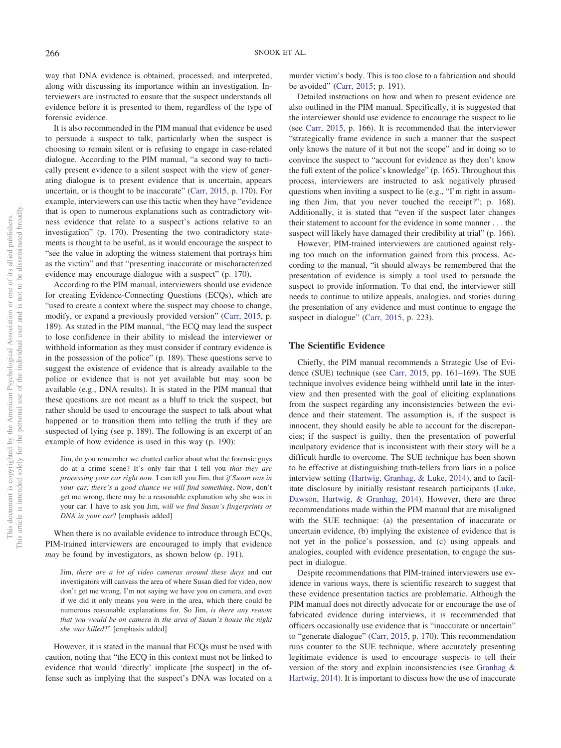way that DNA evidence is obtained, processed, and interpreted, along with discussing its importance within an investigation. Interviewers are instructed to ensure that the suspect understands all evidence before it is presented to them, regardless of the type of forensic evidence.

It is also recommended in the PIM manual that evidence be used to persuade a suspect to talk, particularly when the suspect is choosing to remain silent or is refusing to engage in case-related dialogue. According to the PIM manual, "a second way to tactically present evidence to a silent suspect with the view of generating dialogue is to present evidence that is uncertain, appears uncertain, or is thought to be inaccurate" [\(Carr, 2015,](#page-10-10) p. 170). For example, interviewers can use this tactic when they have "evidence that is open to numerous explanations such as contradictory witness evidence that relate to a suspect's actions relative to an investigation" (p. 170). Presenting the two contradictory statements is thought to be useful, as it would encourage the suspect to "see the value in adopting the witness statement that portrays him as the victim" and that "presenting inaccurate or mischaracterized evidence may encourage dialogue with a suspect" (p. 170).

According to the PIM manual, interviewers should use evidence for creating Evidence-Connecting Questions (ECQs), which are "used to create a context where the suspect may choose to change, modify, or expand a previously provided version" [\(Carr, 2015,](#page-10-10) p. 189). As stated in the PIM manual, "the ECQ may lead the suspect to lose confidence in their ability to mislead the interviewer or withhold information as they must consider if contrary evidence is in the possession of the police" (p. 189). These questions serve to suggest the existence of evidence that is already available to the police or evidence that is not yet available but may soon be available (e.g., DNA results). It is stated in the PIM manual that these questions are not meant as a bluff to trick the suspect, but rather should be used to encourage the suspect to talk about what happened or to transition them into telling the truth if they are suspected of lying (see p. 189). The following is an excerpt of an example of how evidence is used in this way (p. 190):

Jim, do you remember we chatted earlier about what the forensic guys do at a crime scene? It's only fair that I tell you *that they are processing your car right now.* I can tell you Jim, that *if Susan was in your car, there's a good chance we will find something*. Now, don't get me wrong, there may be a reasonable explanation why she was in your car. I have to ask you Jim, *will we find Susan's fingerprints or DNA in your car*? [emphasis added]

When there is no available evidence to introduce through ECOs, PIM-trained interviewers are encouraged to imply that evidence *may* be found by investigators, as shown below (p. 191).

Jim, *there are a lot of video cameras around these days* and our investigators will canvass the area of where Susan died for video, now don't get me wrong, I'm not saying we have you on camera, and even if we did it only means you were in the area, which there could be numerous reasonable explanations for. So Jim, *is there any reason that you would be on camera in the area of Susan's house the night she was killed*?" [emphasis added]

However, it is stated in the manual that ECQs must be used with caution, noting that "the ECQ in this context must not be linked to evidence that would 'directly' implicate [the suspect] in the offense such as implying that the suspect's DNA was located on a murder victim's body. This is too close to a fabrication and should be avoided" [\(Carr, 2015;](#page-10-10) p. 191).

Detailed instructions on how and when to present evidence are also outlined in the PIM manual. Specifically, it is suggested that the interviewer should use evidence to encourage the suspect to lie (see [Carr, 2015,](#page-10-10) p. 166). It is recommended that the interviewer "strategically frame evidence in such a manner that the suspect only knows the nature of it but not the scope" and in doing so to convince the suspect to "account for evidence as they don't know the full extent of the police's knowledge" (p. 165). Throughout this process, interviewers are instructed to ask negatively phrased questions when inviting a suspect to lie (e.g., "I'm right in assuming then Jim, that you never touched the receipt?"; p. 168). Additionally, it is stated that "even if the suspect later changes their statement to account for the evidence in some manner . . . the suspect will likely have damaged their credibility at trial" (p. 166).

However, PIM-trained interviewers are cautioned against relying too much on the information gained from this process. According to the manual, "it should always be remembered that the presentation of evidence is simply a tool used to persuade the suspect to provide information. To that end, the interviewer still needs to continue to utilize appeals, analogies, and stories during the presentation of any evidence and must continue to engage the suspect in dialogue" [\(Carr, 2015,](#page-10-10) p. 223).

#### **The Scientific Evidence**

Chiefly, the PIM manual recommends a Strategic Use of Evidence (SUE) technique (see [Carr, 2015,](#page-10-10) pp. 161–169). The SUE technique involves evidence being withheld until late in the interview and then presented with the goal of eliciting explanations from the suspect regarding any inconsistencies between the evidence and their statement. The assumption is, if the suspect is innocent, they should easily be able to account for the discrepancies; if the suspect is guilty, then the presentation of powerful inculpatory evidence that is inconsistent with their story will be a difficult hurdle to overcome. The SUE technique has been shown to be effective at distinguishing truth-tellers from liars in a police interview setting [\(Hartwig, Granhag, & Luke, 2014\)](#page-10-16), and to facilitate disclosure by initially resistant research participants [\(Luke,](#page-11-22) [Dawson, Hartwig, & Granhag, 2014\)](#page-11-22). However, there are three recommendations made within the PIM manual that are misaligned with the SUE technique: (a) the presentation of inaccurate or uncertain evidence, (b) implying the existence of evidence that is not yet in the police's possession, and (c) using appeals and analogies, coupled with evidence presentation, to engage the suspect in dialogue.

Despite recommendations that PIM-trained interviewers use evidence in various ways, there is scientific research to suggest that these evidence presentation tactics are problematic. Although the PIM manual does not directly advocate for or encourage the use of fabricated evidence during interviews, it is recommended that officers occasionally use evidence that is "inaccurate or uncertain" to "generate dialogue" [\(Carr, 2015,](#page-10-10) p. 170). This recommendation runs counter to the SUE technique, where accurately presenting legitimate evidence is used to encourage suspects to tell their version of the story and explain inconsistencies (see [Granhag &](#page-10-17) [Hartwig, 2014\)](#page-10-17). It is important to discuss how the use of inaccurate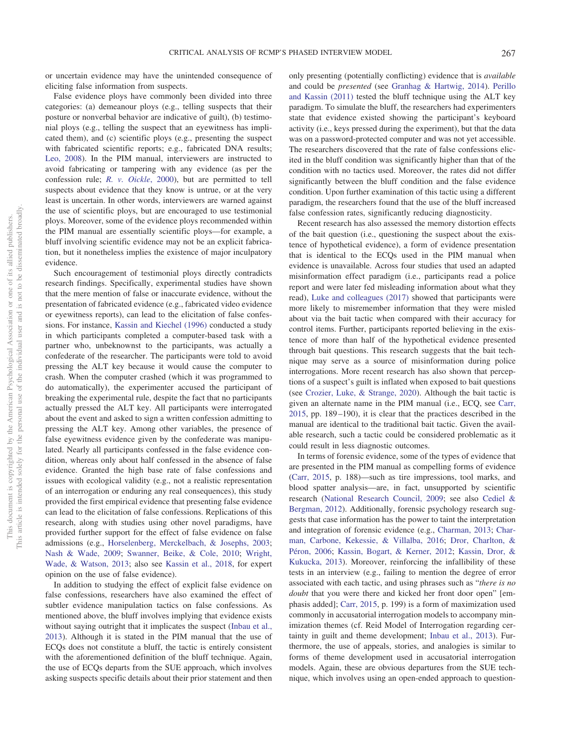or uncertain evidence may have the unintended consequence of eliciting false information from suspects.

False evidence ploys have commonly been divided into three categories: (a) demeanour ploys (e.g., telling suspects that their posture or nonverbal behavior are indicative of guilt), (b) testimonial ploys (e.g., telling the suspect that an eyewitness has implicated them), and (c) scientific ploys (e.g., presenting the suspect with fabricated scientific reports; e.g., fabricated DNA results; [Leo, 2008\)](#page-11-23). In the PIM manual, interviewers are instructed to avoid fabricating or tampering with any evidence (as per the confession rule; *[R. v. Oickle](#page-12-0)*, 2000), but are permitted to tell suspects about evidence that they know is untrue, or at the very least is uncertain. In other words, interviewers are warned against the use of scientific ploys, but are encouraged to use testimonial ploys. Moreover, some of the evidence ploys recommended within the PIM manual are essentially scientific ploys—for example, a bluff involving scientific evidence may not be an explicit fabrication, but it nonetheless implies the existence of major inculpatory evidence.

Such encouragement of testimonial ploys directly contradicts research findings. Specifically, experimental studies have shown that the mere mention of false or inaccurate evidence, without the presentation of fabricated evidence (e.g., fabricated video evidence or eyewitness reports), can lead to the elicitation of false confessions. For instance, [Kassin and Kiechel \(1996\)](#page-11-20) conducted a study in which participants completed a computer-based task with a partner who, unbeknownst to the participants, was actually a confederate of the researcher. The participants were told to avoid pressing the ALT key because it would cause the computer to crash. When the computer crashed (which it was programmed to do automatically), the experimenter accused the participant of breaking the experimental rule, despite the fact that no participants actually pressed the ALT key. All participants were interrogated about the event and asked to sign a written confession admitting to pressing the ALT key. Among other variables, the presence of false eyewitness evidence given by the confederate was manipulated. Nearly all participants confessed in the false evidence condition, whereas only about half confessed in the absence of false evidence. Granted the high base rate of false confessions and issues with ecological validity (e.g., not a realistic representation of an interrogation or enduring any real consequences), this study provided the first empirical evidence that presenting false evidence can lead to the elicitation of false confessions. Replications of this research, along with studies using other novel paradigms, have provided further support for the effect of false evidence on false admissions (e.g., [Horselenberg, Merckelbach, & Josephs, 2003;](#page-11-24) [Nash & Wade, 2009;](#page-11-25) [Swanner, Beike, & Cole, 2010;](#page-12-22) [Wright,](#page-12-23) [Wade, & Watson, 2013;](#page-12-23) also see [Kassin et al., 2018,](#page-11-17) for expert opinion on the use of false evidence).

In addition to studying the effect of explicit false evidence on false confessions, researchers have also examined the effect of subtler evidence manipulation tactics on false confessions. As mentioned above, the bluff involves implying that evidence exists without saying outright that it implicates the suspect [\(Inbau et al.,](#page-11-7) [2013\)](#page-11-7). Although it is stated in the PIM manual that the use of ECQs does not constitute a bluff, the tactic is entirely consistent with the aforementioned definition of the bluff technique. Again, the use of ECQs departs from the SUE approach, which involves asking suspects specific details about their prior statement and then

only presenting (potentially conflicting) evidence that is *available* and could be *presented* (see [Granhag & Hartwig, 2014\)](#page-10-17). [Perillo](#page-12-21) [and Kassin \(2011\)](#page-12-21) tested the bluff technique using the ALT key paradigm. To simulate the bluff, the researchers had experimenters state that evidence existed showing the participant's keyboard activity (i.e., keys pressed during the experiment), but that the data was on a password-protected computer and was not yet accessible. The researchers discovered that the rate of false confessions elicited in the bluff condition was significantly higher than that of the condition with no tactics used. Moreover, the rates did not differ significantly between the bluff condition and the false evidence condition. Upon further examination of this tactic using a different paradigm, the researchers found that the use of the bluff increased false confession rates, significantly reducing diagnosticity.

Recent research has also assessed the memory distortion effects of the bait question (i.e., questioning the suspect about the existence of hypothetical evidence), a form of evidence presentation that is identical to the ECQs used in the PIM manual when evidence is unavailable. Across four studies that used an adapted misinformation effect paradigm (i.e., participants read a police report and were later fed misleading information about what they read), [Luke and colleagues \(2017\)](#page-11-21) showed that participants were more likely to misremember information that they were misled about via the bait tactic when compared with their accuracy for control items. Further, participants reported believing in the existence of more than half of the hypothetical evidence presented through bait questions. This research suggests that the bait technique may serve as a source of misinformation during police interrogations. More recent research has also shown that perceptions of a suspect's guilt is inflated when exposed to bait questions (see [Crozier, Luke, & Strange, 2020\)](#page-10-18). Although the bait tactic is given an alternate name in the PIM manual (i.e., ECQ, see [Carr,](#page-10-10) [2015,](#page-10-10) pp. 189 –190), it is clear that the practices described in the manual are identical to the traditional bait tactic. Given the available research, such a tactic could be considered problematic as it could result in less diagnostic outcomes.

In terms of forensic evidence, some of the types of evidence that are presented in the PIM manual as compelling forms of evidence [\(Carr, 2015,](#page-10-10) p. 188)—such as tire impressions, tool marks, and blood spatter analysis—are, in fact, unsupported by scientific research [\(National Research Council, 2009;](#page-12-24) see also [Cediel &](#page-10-19) [Bergman, 2012\)](#page-10-19). Additionally, forensic psychology research suggests that case information has the power to taint the interpretation and integration of forensic evidence (e.g., [Charman, 2013;](#page-10-20) [Char](#page-10-21)[man, Carbone, Kekessie, & Villalba, 2016;](#page-10-21) [Dror, Charlton, &](#page-10-22) [Péron, 2006;](#page-10-22) [Kassin, Bogart, & Kerner, 2012;](#page-11-26) [Kassin, Dror, &](#page-11-27) [Kukucka, 2013\)](#page-11-27). Moreover, reinforcing the infallibility of these tests in an interview (e.g., failing to mention the degree of error associated with each tactic, and using phrases such as "*there is no doubt* that you were there and kicked her front door open" [emphasis added]; [Carr, 2015,](#page-10-10) p. 199) is a form of maximization used commonly in accusatorial interrogation models to accompany minimization themes (cf. Reid Model of Interrogation regarding certainty in guilt and theme development; [Inbau et al., 2013\)](#page-11-7). Furthermore, the use of appeals, stories, and analogies is similar to forms of theme development used in accusatorial interrogation models. Again, these are obvious departures from the SUE technique, which involves using an open-ended approach to question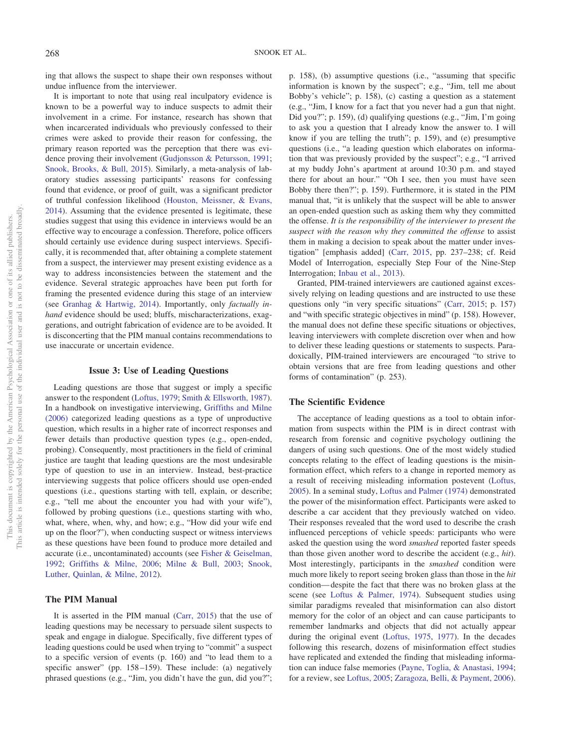ing that allows the suspect to shape their own responses without undue influence from the interviewer.

It is important to note that using real inculpatory evidence is known to be a powerful way to induce suspects to admit their involvement in a crime. For instance, research has shown that when incarcerated individuals who previously confessed to their crimes were asked to provide their reason for confessing, the primary reason reported was the perception that there was evidence proving their involvement [\(Gudjonsson & Petursson, 1991;](#page-10-23) [Snook, Brooks, & Bull, 2015\)](#page-12-25). Similarly, a meta-analysis of laboratory studies assessing participants' reasons for confessing found that evidence, or proof of guilt, was a significant predictor of truthful confession likelihood [\(Houston, Meissner, & Evans,](#page-11-28) [2014\)](#page-11-28). Assuming that the evidence presented is legitimate, these studies suggest that using this evidence in interviews would be an effective way to encourage a confession. Therefore, police officers should certainly use evidence during suspect interviews. Specifically, it is recommended that, after obtaining a complete statement from a suspect, the interviewer may present existing evidence as a way to address inconsistencies between the statement and the evidence. Several strategic approaches have been put forth for framing the presented evidence during this stage of an interview (see [Granhag & Hartwig, 2014\)](#page-10-17). Importantly, only *factually inhand* evidence should be used; bluffs, mischaracterizations, exaggerations, and outright fabrication of evidence are to be avoided. It is disconcerting that the PIM manual contains recommendations to use inaccurate or uncertain evidence.

#### **Issue 3: Use of Leading Questions**

Leading questions are those that suggest or imply a specific answer to the respondent [\(Loftus, 1979;](#page-11-29) [Smith & Ellsworth, 1987\)](#page-12-26). In a handbook on investigative interviewing, [Griffiths and Milne](#page-10-24) [\(2006\)](#page-10-24) categorized leading questions as a type of unproductive question, which results in a higher rate of incorrect responses and fewer details than productive question types (e.g., open-ended, probing). Consequently, most practitioners in the field of criminal justice are taught that leading questions are the most undesirable type of question to use in an interview. Instead, best-practice interviewing suggests that police officers should use open-ended questions (i.e., questions starting with tell, explain, or describe; e.g., "tell me about the encounter you had with your wife"), followed by probing questions (i.e., questions starting with who, what, where, when, why, and how; e.g., "How did your wife end up on the floor?"), when conducting suspect or witness interviews as these questions have been found to produce more detailed and accurate (i.e., uncontaminated) accounts (see [Fisher & Geiselman,](#page-10-25) [1992;](#page-10-25) [Griffiths & Milne, 2006;](#page-10-24) [Milne & Bull, 2003;](#page-11-9) [Snook,](#page-12-27) [Luther, Quinlan, & Milne, 2012\)](#page-12-27).

## **The PIM Manual**

It is asserted in the PIM manual [\(Carr, 2015\)](#page-10-10) that the use of leading questions may be necessary to persuade silent suspects to speak and engage in dialogue. Specifically, five different types of leading questions could be used when trying to "commit" a suspect to a specific version of events (p. 160) and "to lead them to a specific answer" (pp. 158–159). These include: (a) negatively phrased questions (e.g., "Jim, you didn't have the gun, did you?";

p. 158), (b) assumptive questions (i.e., "assuming that specific information is known by the suspect"; e.g., "Jim, tell me about Bobby's vehicle"; p. 158), (c) casting a question as a statement (e.g., "Jim, I know for a fact that you never had a gun that night. Did you?"; p. 159), (d) qualifying questions (e.g., "Jim, I'm going to ask you a question that I already know the answer to. I will know if you are telling the truth"; p. 159), and (e) presumptive questions (i.e., "a leading question which elaborates on information that was previously provided by the suspect"; e.g., "I arrived at my buddy John's apartment at around 10:30 p.m. and stayed there for about an hour." "Oh I see, then you must have seen Bobby there then?"; p. 159). Furthermore, it is stated in the PIM manual that, "it is unlikely that the suspect will be able to answer an open-ended question such as asking them why they committed the offense. *It is the responsibility of the interviewer to present the suspect with the reason why they committed the offense* to assist them in making a decision to speak about the matter under investigation" [emphasis added] [\(Carr, 2015,](#page-10-10) pp. 237–238; cf. Reid Model of Interrogation, especially Step Four of the Nine-Step Interrogation; [Inbau et al., 2013\)](#page-11-7).

Granted, PIM-trained interviewers are cautioned against excessively relying on leading questions and are instructed to use these questions only "in very specific situations" [\(Carr, 2015;](#page-10-10) p. 157) and "with specific strategic objectives in mind" (p. 158). However, the manual does not define these specific situations or objectives, leaving interviewers with complete discretion over when and how to deliver these leading questions or statements to suspects. Paradoxically, PIM-trained interviewers are encouraged "to strive to obtain versions that are free from leading questions and other forms of contamination" (p. 253).

#### **The Scientific Evidence**

The acceptance of leading questions as a tool to obtain information from suspects within the PIM is in direct contrast with research from forensic and cognitive psychology outlining the dangers of using such questions. One of the most widely studied concepts relating to the effect of leading questions is the misinformation effect, which refers to a change in reported memory as a result of receiving misleading information postevent [\(Loftus,](#page-11-30) [2005\)](#page-11-30). In a seminal study, [Loftus and Palmer \(1974\)](#page-11-31) demonstrated the power of the misinformation effect. Participants were asked to describe a car accident that they previously watched on video. Their responses revealed that the word used to describe the crash influenced perceptions of vehicle speeds: participants who were asked the question using the word *smashed* reported faster speeds than those given another word to describe the accident (e.g., *hit*). Most interestingly, participants in the *smashed* condition were much more likely to report seeing broken glass than those in the *hit* condition— despite the fact that there was no broken glass at the scene (see [Loftus & Palmer, 1974\)](#page-11-31). Subsequent studies using similar paradigms revealed that misinformation can also distort memory for the color of an object and can cause participants to remember landmarks and objects that did not actually appear during the original event [\(Loftus, 1975,](#page-11-32) [1977\)](#page-11-33). In the decades following this research, dozens of misinformation effect studies have replicated and extended the finding that misleading information can induce false memories [\(Payne, Toglia, & Anastasi, 1994;](#page-12-28) for a review, see [Loftus, 2005;](#page-11-30) [Zaragoza, Belli, & Payment, 2006\)](#page-12-29).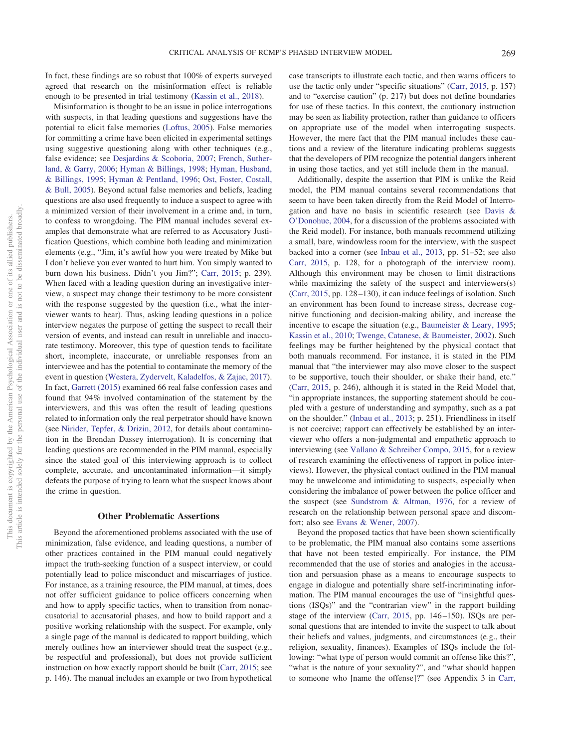In fact, these findings are so robust that 100% of experts surveyed agreed that research on the misinformation effect is reliable enough to be presented in trial testimony [\(Kassin et al., 2018\)](#page-11-17).

Misinformation is thought to be an issue in police interrogations with suspects, in that leading questions and suggestions have the potential to elicit false memories [\(Loftus, 2005\)](#page-11-30). False memories for committing a crime have been elicited in experimental settings using suggestive questioning along with other techniques (e.g., false evidence; see [Desjardins & Scoboria, 2007;](#page-10-26) [French, Suther](#page-10-27)[land, & Garry, 2006;](#page-10-27) [Hyman & Billings, 1998;](#page-11-34) [Hyman, Husband,](#page-11-35) [& Billings, 1995;](#page-11-35) [Hyman & Pentland, 1996;](#page-11-36) [Ost, Foster, Costall,](#page-12-30) [& Bull, 2005\)](#page-12-30). Beyond actual false memories and beliefs, leading questions are also used frequently to induce a suspect to agree with a minimized version of their involvement in a crime and, in turn, to confess to wrongdoing. The PIM manual includes several examples that demonstrate what are referred to as Accusatory Justification Questions, which combine both leading and minimization elements (e.g., "Jim, it's awful how you were treated by Mike but I don't believe you ever wanted to hurt him. You simply wanted to burn down his business. Didn't you Jim?"; [Carr, 2015;](#page-10-10) p. 239). When faced with a leading question during an investigative interview, a suspect may change their testimony to be more consistent with the response suggested by the question (i.e., what the interviewer wants to hear). Thus, asking leading questions in a police interview negates the purpose of getting the suspect to recall their version of events, and instead can result in unreliable and inaccurate testimony. Moreover, this type of question tends to facilitate short, incomplete, inaccurate, or unreliable responses from an interviewee and has the potential to contaminate the memory of the event in question [\(Westera, Zydervelt, Kaladelfos, & Zajac, 2017\)](#page-12-31). In fact, [Garrett \(2015\)](#page-10-28) examined 66 real false confession cases and found that 94% involved contamination of the statement by the interviewers, and this was often the result of leading questions related to information only the real perpetrator should have known (see [Nirider, Tepfer, & Drizin, 2012,](#page-12-32) for details about contamination in the Brendan Dassey interrogation). It is concerning that leading questions are recommended in the PIM manual, especially since the stated goal of this interviewing approach is to collect complete, accurate, and uncontaminated information—it simply defeats the purpose of trying to learn what the suspect knows about the crime in question.

#### **Other Problematic Assertions**

Beyond the aforementioned problems associated with the use of minimization, false evidence, and leading questions, a number of other practices contained in the PIM manual could negatively impact the truth-seeking function of a suspect interview, or could potentially lead to police misconduct and miscarriages of justice. For instance, as a training resource, the PIM manual, at times, does not offer sufficient guidance to police officers concerning when and how to apply specific tactics, when to transition from nonaccusatorial to accusatorial phases, and how to build rapport and a positive working relationship with the suspect. For example, only a single page of the manual is dedicated to rapport building, which merely outlines how an interviewer should treat the suspect (e.g., be respectful and professional), but does not provide sufficient instruction on how exactly rapport should be built [\(Carr, 2015;](#page-10-10) see p. 146). The manual includes an example or two from hypothetical

case transcripts to illustrate each tactic, and then warns officers to use the tactic only under "specific situations" [\(Carr, 2015,](#page-10-10) p. 157) and to "exercise caution" (p. 217) but does not define boundaries for use of these tactics. In this context, the cautionary instruction may be seen as liability protection, rather than guidance to officers on appropriate use of the model when interrogating suspects. However, the mere fact that the PIM manual includes these cautions and a review of the literature indicating problems suggests that the developers of PIM recognize the potential dangers inherent in using those tactics, and yet still include them in the manual.

Additionally, despite the assertion that PIM is unlike the Reid model, the PIM manual contains several recommendations that seem to have been taken directly from the Reid Model of Interrogation and have no basis in scientific research (see [Davis &](#page-10-29) [O'Donohue, 2004,](#page-10-29) for a discussion of the problems associated with the Reid model). For instance, both manuals recommend utilizing a small, bare, windowless room for the interview, with the suspect backed into a corner (see [Inbau et al., 2013,](#page-11-7) pp. 51–52; see also [Carr, 2015,](#page-10-10) p. 128, for a photograph of the interview room). Although this environment may be chosen to limit distractions while maximizing the safety of the suspect and interviewers(s) [\(Carr, 2015,](#page-10-10) pp. 128 –130), it can induce feelings of isolation. Such an environment has been found to increase stress, decrease cognitive functioning and decision-making ability, and increase the incentive to escape the situation (e.g., [Baumeister & Leary, 1995;](#page-10-30) [Kassin et al., 2010;](#page-11-0) [Twenge, Catanese, & Baumeister, 2002\)](#page-12-33). Such feelings may be further heightened by the physical contact that both manuals recommend. For instance, it is stated in the PIM manual that "the interviewer may also move closer to the suspect to be supportive, touch their shoulder, or shake their hand, etc." [\(Carr, 2015,](#page-10-10) p. 246), although it is stated in the Reid Model that, "in appropriate instances, the supporting statement should be coupled with a gesture of understanding and sympathy, such as a pat on the shoulder." [\(Inbau et al., 2013;](#page-11-7) p. 251). Friendliness in itself is not coercive; rapport can effectively be established by an interviewer who offers a non-judgmental and empathetic approach to interviewing (see [Vallano & Schreiber Compo, 2015,](#page-12-34) for a review of research examining the effectiveness of rapport in police interviews). However, the physical contact outlined in the PIM manual may be unwelcome and intimidating to suspects, especially when considering the imbalance of power between the police officer and the suspect (see [Sundstrom & Altman, 1976,](#page-12-35) for a review of research on the relationship between personal space and discomfort; also see [Evans & Wener, 2007\)](#page-10-31).

Beyond the proposed tactics that have been shown scientifically to be problematic, the PIM manual also contains some assertions that have not been tested empirically. For instance, the PIM recommended that the use of stories and analogies in the accusation and persuasion phase as a means to encourage suspects to engage in dialogue and potentially share self-incriminating information. The PIM manual encourages the use of "insightful questions (ISQs)" and the "contrarian view" in the rapport building stage of the interview [\(Carr, 2015,](#page-10-10) pp. 146 –150). ISQs are personal questions that are intended to invite the suspect to talk about their beliefs and values, judgments, and circumstances (e.g., their religion, sexuality, finances). Examples of ISQs include the following: "what type of person would commit an offense like this?", "what is the nature of your sexuality?", and "what should happen to someone who [name the offense]?" (see Appendix 3 in [Carr,](#page-10-10)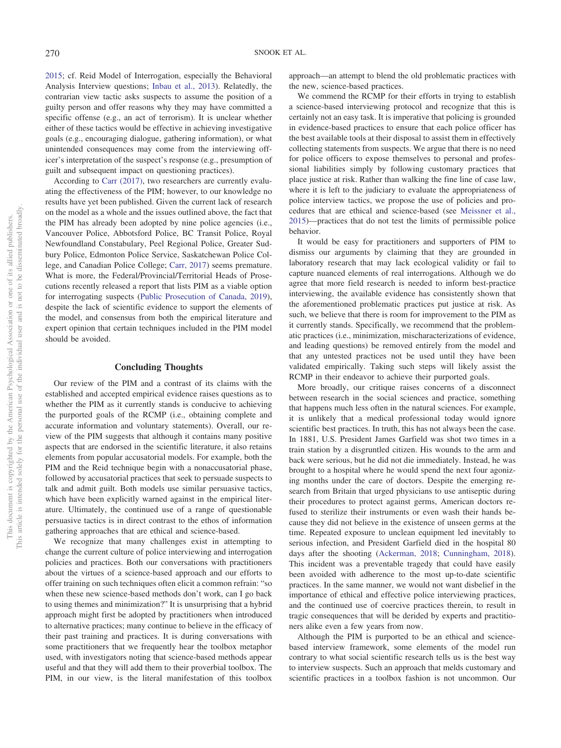[2015;](#page-10-10) cf. Reid Model of Interrogation, especially the Behavioral Analysis Interview questions; [Inbau et al., 2013\)](#page-11-7). Relatedly, the contrarian view tactic asks suspects to assume the position of a guilty person and offer reasons why they may have committed a specific offense (e.g., an act of terrorism). It is unclear whether either of these tactics would be effective in achieving investigative goals (e.g., encouraging dialogue, gathering information), or what unintended consequences may come from the interviewing officer's interpretation of the suspect's response (e.g., presumption of guilt and subsequent impact on questioning practices).

According to [Carr \(2017\),](#page-10-8) two researchers are currently evaluating the effectiveness of the PIM; however, to our knowledge no results have yet been published. Given the current lack of research on the model as a whole and the issues outlined above, the fact that the PIM has already been adopted by nine police agencies (i.e., Vancouver Police, Abbotsford Police, BC Transit Police, Royal Newfoundland Constabulary, Peel Regional Police, Greater Sudbury Police, Edmonton Police Service, Saskatchewan Police College, and Canadian Police College; [Carr, 2017\)](#page-10-8) seems premature. What is more, the Federal/Provincial/Territorial Heads of Prosecutions recently released a report that lists PIM as a viable option for interrogating suspects [\(Public Prosecution of Canada, 2019\)](#page-12-11), despite the lack of scientific evidence to support the elements of the model, and consensus from both the empirical literature and expert opinion that certain techniques included in the PIM model should be avoided.

#### **Concluding Thoughts**

Our review of the PIM and a contrast of its claims with the established and accepted empirical evidence raises questions as to whether the PIM as it currently stands is conducive to achieving the purported goals of the RCMP (i.e., obtaining complete and accurate information and voluntary statements). Overall, our review of the PIM suggests that although it contains many positive aspects that are endorsed in the scientific literature, it also retains elements from popular accusatorial models. For example, both the PIM and the Reid technique begin with a nonaccusatorial phase, followed by accusatorial practices that seek to persuade suspects to talk and admit guilt. Both models use similar persuasive tactics, which have been explicitly warned against in the empirical literature. Ultimately, the continued use of a range of questionable persuasive tactics is in direct contrast to the ethos of information gathering approaches that are ethical and science-based.

We recognize that many challenges exist in attempting to change the current culture of police interviewing and interrogation policies and practices. Both our conversations with practitioners about the virtues of a science-based approach and our efforts to offer training on such techniques often elicit a common refrain: "so when these new science-based methods don't work, can I go back to using themes and minimization?" It is unsurprising that a hybrid approach might first be adopted by practitioners when introduced to alternative practices; many continue to believe in the efficacy of their past training and practices. It is during conversations with some practitioners that we frequently hear the toolbox metaphor used, with investigators noting that science-based methods appear useful and that they will add them to their proverbial toolbox. The PIM, in our view, is the literal manifestation of this toolbox

approach—an attempt to blend the old problematic practices with the new, science-based practices.

We commend the RCMP for their efforts in trying to establish a science-based interviewing protocol and recognize that this is certainly not an easy task. It is imperative that policing is grounded in evidence-based practices to ensure that each police officer has the best available tools at their disposal to assist them in effectively collecting statements from suspects. We argue that there is no need for police officers to expose themselves to personal and professional liabilities simply by following customary practices that place justice at risk. Rather than walking the fine line of case law, where it is left to the judiciary to evaluate the appropriateness of police interview tactics, we propose the use of policies and procedures that are ethical and science-based (see [Meissner et al.,](#page-11-1) [2015\)](#page-11-1)—practices that do not test the limits of permissible police behavior.

It would be easy for practitioners and supporters of PIM to dismiss our arguments by claiming that they are grounded in laboratory research that may lack ecological validity or fail to capture nuanced elements of real interrogations. Although we do agree that more field research is needed to inform best-practice interviewing, the available evidence has consistently shown that the aforementioned problematic practices put justice at risk. As such, we believe that there is room for improvement to the PIM as it currently stands. Specifically, we recommend that the problematic practices (i.e., minimization, mischaracterizations of evidence, and leading questions) be removed entirely from the model and that any untested practices not be used until they have been validated empirically. Taking such steps will likely assist the RCMP in their endeavor to achieve their purported goals.

More broadly, our critique raises concerns of a disconnect between research in the social sciences and practice, something that happens much less often in the natural sciences. For example, it is unlikely that a medical professional today would ignore scientific best practices. In truth, this has not always been the case. In 1881, U.S. President James Garfield was shot two times in a train station by a disgruntled citizen. His wounds to the arm and back were serious, but he did not die immediately. Instead, he was brought to a hospital where he would spend the next four agonizing months under the care of doctors. Despite the emerging research from Britain that urged physicians to use antiseptic during their procedures to protect against germs, American doctors refused to sterilize their instruments or even wash their hands because they did not believe in the existence of unseen germs at the time. Repeated exposure to unclean equipment led inevitably to serious infection, and President Garfield died in the hospital 80 days after the shooting [\(Ackerman, 2018;](#page-10-32) [Cunningham, 2018\)](#page-10-33). This incident was a preventable tragedy that could have easily been avoided with adherence to the most up-to-date scientific practices. In the same manner, we would not want disbelief in the importance of ethical and effective police interviewing practices, and the continued use of coercive practices therein, to result in tragic consequences that will be derided by experts and practitioners alike even a few years from now.

Although the PIM is purported to be an ethical and sciencebased interview framework, some elements of the model run contrary to what social scientific research tells us is the best way to interview suspects. Such an approach that melds customary and scientific practices in a toolbox fashion is not uncommon. Our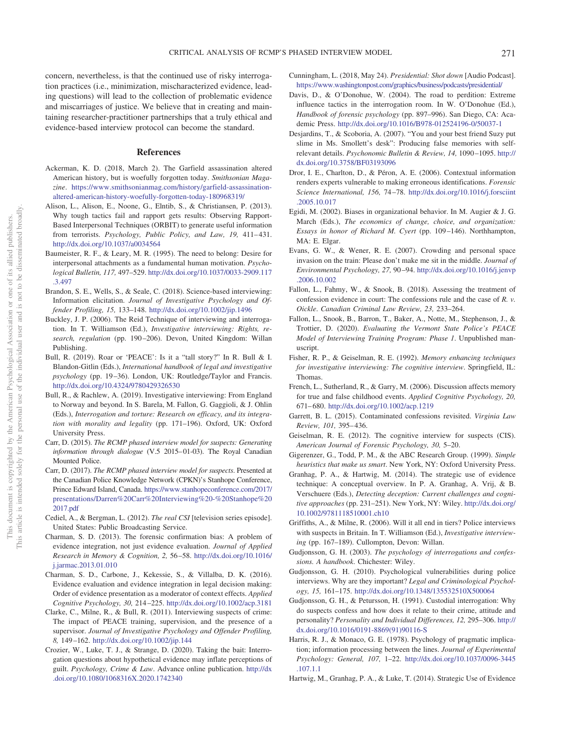concern, nevertheless, is that the continued use of risky interrogation practices (i.e., minimization, mischaracterized evidence, leading questions) will lead to the collection of problematic evidence and miscarriages of justice. We believe that in creating and maintaining researcher-practitioner partnerships that a truly ethical and evidence-based interview protocol can become the standard.

#### **References**

- <span id="page-10-32"></span>Ackerman, K. D. (2018, March 2). The Garfield assassination altered American history, but is woefully forgotten today. *Smithsonian Magazine*. [https://www.smithsonianmag.com/history/garfield-assassination](https://www.smithsonianmag.com/history/garfield-assassination-altered-american-history-woefully-forgotten-today-180968319/)[altered-american-history-woefully-forgotten-today-180968319/](https://www.smithsonianmag.com/history/garfield-assassination-altered-american-history-woefully-forgotten-today-180968319/)
- <span id="page-10-12"></span>Alison, L., Alison, E., Noone, G., Elntib, S., & Christiansen, P. (2013). Why tough tactics fail and rapport gets results: Observing Rapport-Based Interpersonal Techniques (ORBIT) to generate useful information from terrorists. Psychology, Public Policy, and Law, 19, 411-431. <http://dx.doi.org/10.1037/a0034564>
- <span id="page-10-30"></span>Baumeister, R. F., & Leary, M. R. (1995). The need to belong: Desire for interpersonal attachments as a fundamental human motivation. *Psychological Bulletin, 117,* 497–529. [http://dx.doi.org/10.1037/0033-2909.117](http://dx.doi.org/10.1037/0033-2909.117.3.497) [.3.497](http://dx.doi.org/10.1037/0033-2909.117.3.497)
- <span id="page-10-11"></span>Brandon, S. E., Wells, S., & Seale, C. (2018). Science-based interviewing: Information elicitation. *Journal of Investigative Psychology and Offender Profiling, 15,* 133–148. <http://dx.doi.org/10.1002/jip.1496>
- <span id="page-10-9"></span>Buckley, J. P. (2006). The Reid Technique of interviewing and interrogation. In T. Williamson (Ed.), *Investigative interviewing: Rights, research, regulation* (pp. 190 –206). Devon, United Kingdom: Willan Publishing.
- <span id="page-10-3"></span>Bull, R. (2019). Roar or 'PEACE': Is it a "tall story?" In R. Bull & I. Blandon-Gitlin (Eds.), *International handbook of legal and investigative psychology* (pp. 19 –36). London, UK: Routledge/Taylor and Francis. <http://dx.doi.org/10.4324/9780429326530>
- <span id="page-10-1"></span>Bull, R., & Rachlew, A. (2019). Investigative interviewing: From England to Norway and beyond. In S. Barela, M. Fallon, G. Gaggioli, & J. Ohlin (Eds.), *Interrogation and torture: Research on efficacy, and its integration with morality and legality* (pp. 171–196). Oxford, UK: Oxford University Press.
- <span id="page-10-10"></span>Carr, D. (2015). *The RCMP phased interview model for suspects: Generating information through dialogue* (V.5 2015– 01-03). The Royal Canadian Mounted Police.
- <span id="page-10-8"></span>Carr, D. (2017). *The RCMP phased interview model for suspects*. Presented at the Canadian Police Knowledge Network (CPKN)'s Stanhope Conference, Prince Edward Island, Canada. [https://www.stanhopeconference.com/2017/](https://www.stanhopeconference.com/2017/presentations/Darren%20Carr%20Interviewing%20-%20Stanhope%202017.pdf) [presentations/Darren%20Carr%20Interviewing%20-%20Stanhope%20](https://www.stanhopeconference.com/2017/presentations/Darren%20Carr%20Interviewing%20-%20Stanhope%202017.pdf) [2017.pdf](https://www.stanhopeconference.com/2017/presentations/Darren%20Carr%20Interviewing%20-%20Stanhope%202017.pdf)
- <span id="page-10-19"></span>Cediel, A., & Bergman, L. (2012). *The real CSI* [television series episode]. United States: Public Broadcasting Service.
- <span id="page-10-20"></span>Charman, S. D. (2013). The forensic confirmation bias: A problem of evidence integration, not just evidence evaluation. *Journal of Applied Research in Memory & Cognition, 2,* 56 –58. [http://dx.doi.org/10.1016/](http://dx.doi.org/10.1016/j.jarmac.2013.01.010) [j.jarmac.2013.01.010](http://dx.doi.org/10.1016/j.jarmac.2013.01.010)
- <span id="page-10-21"></span>Charman, S. D., Carbone, J., Kekessie, S., & Villalba, D. K. (2016). Evidence evaluation and evidence integration in legal decision making: Order of evidence presentation as a moderator of context effects. *Applied Cognitive Psychology, 30,* 214 –225. <http://dx.doi.org/10.1002/acp.3181>
- <span id="page-10-4"></span>Clarke, C., Milne, R., & Bull, R. (2011). Interviewing suspects of crime: The impact of PEACE training, supervision, and the presence of a supervisor. *Journal of Investigative Psychology and Offender Profiling, 8,* 149 –162. <http://dx.doi.org/10.1002/jip.144>
- <span id="page-10-18"></span>Crozier, W., Luke, T. J., & Strange, D. (2020). Taking the bait: Interrogation questions about hypothetical evidence may inflate perceptions of guilt. *Psychology, Crime & Law*. Advance online publication. [http://dx](http://dx.doi.org/10.1080/1068316X.2020.1742340) [.doi.org/10.1080/1068316X.2020.1742340](http://dx.doi.org/10.1080/1068316X.2020.1742340)
- <span id="page-10-33"></span>Cunningham, L. (2018, May 24). *Presidential: Shot down* [Audio Podcast]. <https://www.washingtonpost.com/graphics/business/podcasts/presidential/>
- <span id="page-10-29"></span>Davis, D., & O'Donohue, W. (2004). The road to perdition: Extreme influence tactics in the interrogation room. In W. O'Donohue (Ed.), *Handbook of forensic psychology* (pp. 897–996). San Diego, CA: Academic Press. <http://dx.doi.org/10.1016/B978-012524196-0/50037-1>
- <span id="page-10-26"></span>Desjardins, T., & Scoboria, A. (2007). "You and your best friend Suzy put slime in Ms. Smollett's desk": Producing false memories with selfrelevant details. *Psychonomic Bulletin & Review, 14,* 1090 –1095. [http://](http://dx.doi.org/10.3758/BF03193096) [dx.doi.org/10.3758/BF03193096](http://dx.doi.org/10.3758/BF03193096)
- <span id="page-10-22"></span>Dror, I. E., Charlton, D., & Péron, A. E. (2006). Contextual information renders experts vulnerable to making erroneous identifications. *Forensic Science International, 156,* 74 –78. [http://dx.doi.org/10.1016/j.forsciint](http://dx.doi.org/10.1016/j.forsciint.2005.10.017) [.2005.10.017](http://dx.doi.org/10.1016/j.forsciint.2005.10.017)
- <span id="page-10-6"></span>Egidi, M. (2002). Biases in organizational behavior. In M. Augier & J. G. March (Eds.), *The economics of change, choice, and organization: Essays in honor of Richard M. Cyert* (pp. 109 –146). Northhampton, MA: E. Elgar.
- <span id="page-10-31"></span>Evans, G. W., & Wener, R. E. (2007). Crowding and personal space invasion on the train: Please don't make me sit in the middle. *Journal of Environmental Psychology, 27,* 90 –94. [http://dx.doi.org/10.1016/j.jenvp](http://dx.doi.org/10.1016/j.jenvp.2006.10.002) [.2006.10.002](http://dx.doi.org/10.1016/j.jenvp.2006.10.002)
- <span id="page-10-13"></span>Fallon, L., Fahmy, W., & Snook, B. (2018). Assessing the treatment of confession evidence in court: The confessions rule and the case of *R. v. Oickle*. *Canadian Criminal Law Review, 23,* 233–264.
- <span id="page-10-5"></span>Fallon, L., Snook, B., Barron, T., Baker, A., Notte, M., Stephenson, J., & Trottier, D. (2020). *Evaluating the Vermont State Police's PEACE Model of Interviewing Training Program: Phase 1*. Unpublished manuscript.
- <span id="page-10-25"></span>Fisher, R. P., & Geiselman, R. E. (1992). *Memory enhancing techniques for investigative interviewing: The cognitive interview*. Springfield, IL: Thomas.
- <span id="page-10-27"></span>French, L., Sutherland, R., & Garry, M. (2006). Discussion affects memory for true and false childhood events. *Applied Cognitive Psychology, 20,* 671– 680. <http://dx.doi.org/10.1002/acp.1219>
- <span id="page-10-28"></span>Garrett, B. L. (2015). Contaminated confessions revisited. *Virginia Law Review, 101,* 395– 436.
- <span id="page-10-2"></span>Geiselman, R. E. (2012). The cognitive interview for suspects (CIS). *American Journal of Forensic Psychology, 30,* 5–20.
- <span id="page-10-7"></span>Gigerenzer, G., Todd, P. M., & the ABC Research Group. (1999). *Simple heuristics that make us smart*. New York, NY: Oxford University Press.
- <span id="page-10-17"></span>Granhag, P. A., & Hartwig, M. (2014). The strategic use of evidence technique: A conceptual overview. In P. A. Granhag, A. Vrij, & B. Verschuere (Eds.), *Detecting deception: Current challenges and cognitive approaches* (pp. 231–251). New York, NY: Wiley. [http://dx.doi.org/](http://dx.doi.org/10.1002/9781118510001.ch10) [10.1002/9781118510001.ch10](http://dx.doi.org/10.1002/9781118510001.ch10)
- <span id="page-10-24"></span>Griffiths, A., & Milne, R. (2006). Will it all end in tiers? Police interviews with suspects in Britain. In T. Williamson (Ed.), *Investigative interviewing* (pp. 167–189). Cullompton, Devon: Willan.
- <span id="page-10-0"></span>Gudjonsson, G. H. (2003). *The psychology of interrogations and confessions. A handbook*. Chichester: Wiley.
- <span id="page-10-15"></span>Gudjonsson, G. H. (2010). Psychological vulnerabilities during police interviews. Why are they important? *Legal and Criminological Psychology, 15,* 161–175. <http://dx.doi.org/10.1348/135532510X500064>
- <span id="page-10-23"></span>Gudjonsson, G. H., & Petursson, H. (1991). Custodial interrogation: Why do suspects confess and how does it relate to their crime, attitude and personality? *Personality and Individual Differences, 12,* 295–306. [http://](http://dx.doi.org/10.1016/0191-8869%2891%2990116-S) [dx.doi.org/10.1016/0191-8869\(91\)90116-S](http://dx.doi.org/10.1016/0191-8869%2891%2990116-S)
- <span id="page-10-14"></span>Harris, R. J., & Monaco, G. E. (1978). Psychology of pragmatic implication; information processing between the lines. *Journal of Experimental Psychology: General, 107,* 1–22. [http://dx.doi.org/10.1037/0096-3445](http://dx.doi.org/10.1037/0096-3445.107.1.1) [.107.1.1](http://dx.doi.org/10.1037/0096-3445.107.1.1)
- <span id="page-10-16"></span>Hartwig, M., Granhag, P. A., & Luke, T. (2014). Strategic Use of Evidence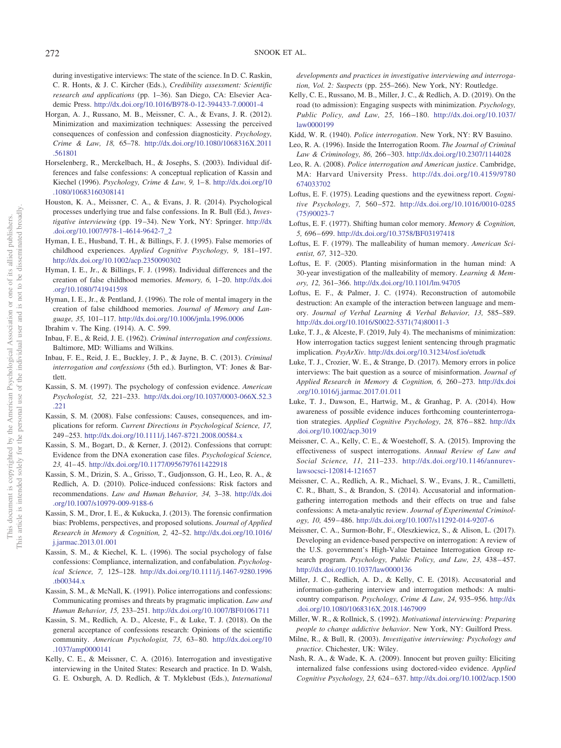during investigative interviews: The state of the science. In D. C. Raskin, C. R. Honts, & J. C. Kircher (Eds.), *Credibility assessment: Scientific research and applications* (pp. 1–36). San Diego, CA: Elsevier Academic Press. <http://dx.doi.org/10.1016/B978-0-12-394433-7.00001-4>

- <span id="page-11-15"></span>Horgan, A. J., Russano, M. B., Meissner, C. A., & Evans, J. R. (2012). Minimization and maximization techniques: Assessing the perceived consequences of confession and confession diagnosticity. *Psychology, Crime & Law, 18,* 65–78. [http://dx.doi.org/10.1080/1068316X.2011](http://dx.doi.org/10.1080/1068316X.2011.561801) [.561801](http://dx.doi.org/10.1080/1068316X.2011.561801)
- <span id="page-11-24"></span>Horselenberg, R., Merckelbach, H., & Josephs, S. (2003). Individual differences and false confessions: A conceptual replication of Kassin and Kiechel (1996). *Psychology, Crime & Law, 9,* 1– 8. [http://dx.doi.org/10](http://dx.doi.org/10.1080/10683160308141) [.1080/10683160308141](http://dx.doi.org/10.1080/10683160308141)
- <span id="page-11-28"></span>Houston, K. A., Meissner, C. A., & Evans, J. R. (2014). Psychological processes underlying true and false confessions. In R. Bull (Ed.), *Investigative interviewing* (pp. 19 –34). New York, NY: Springer. [http://dx](http://dx.doi.org/10.1007/978-1-4614-9642-7_2) [.doi.org/10.1007/978-1-4614-9642-7\\_2](http://dx.doi.org/10.1007/978-1-4614-9642-7_2)
- <span id="page-11-35"></span>Hyman, I. E., Husband, T. H., & Billings, F. J. (1995). False memories of childhood experiences. *Applied Cognitive Psychology, 9,* 181–197. <http://dx.doi.org/10.1002/acp.2350090302>
- <span id="page-11-34"></span>Hyman, I. E., Jr., & Billings, F. J. (1998). Individual differences and the creation of false childhood memories. *Memory, 6,* 1–20. [http://dx.doi](http://dx.doi.org/10.1080/741941598) [.org/10.1080/741941598](http://dx.doi.org/10.1080/741941598)
- <span id="page-11-36"></span>Hyman, I. E., Jr., & Pentland, J. (1996). The role of mental imagery in the creation of false childhood memories. *Journal of Memory and Language, 35,* 101–117. <http://dx.doi.org/10.1006/jmla.1996.0006>
- <span id="page-11-19"></span>Ibrahim v. The King. (1914). A. C. 599.
- <span id="page-11-4"></span>Inbau, F. E., & Reid, J. E. (1962). *Criminal interrogation and confessions*. Baltimore, MD: Williams and Wilkins.
- <span id="page-11-7"></span>Inbau, F. E., Reid, J. E., Buckley, J. P., & Jayne, B. C. (2013). *Criminal interrogation and confessions* (5th ed.). Burlington, VT: Jones & Bartlett.
- <span id="page-11-10"></span>Kassin, S. M. (1997). The psychology of confession evidence. *American Psychologist, 52,* 221–233. [http://dx.doi.org/10.1037/0003-066X.52.3](http://dx.doi.org/10.1037/0003-066X.52.3.221) [.221](http://dx.doi.org/10.1037/0003-066X.52.3.221)
- <span id="page-11-14"></span>Kassin, S. M. (2008). False confessions: Causes, consequences, and implications for reform. *Current Directions in Psychological Science, 17,* 249 –253. <http://dx.doi.org/10.1111/j.1467-8721.2008.00584.x>
- <span id="page-11-26"></span>Kassin, S. M., Bogart, D., & Kerner, J. (2012). Confessions that corrupt: Evidence from the DNA exoneration case files. *Psychological Science, 23,* 41– 45. <http://dx.doi.org/10.1177/0956797611422918>
- <span id="page-11-0"></span>Kassin, S. M., Drizin, S. A., Grisso, T., Gudjonsson, G. H., Leo, R. A., & Redlich, A. D. (2010). Police-induced confessions: Risk factors and recommendations. *Law and Human Behavior, 34,* 3–38. [http://dx.doi](http://dx.doi.org/10.1007/s10979-009-9188-6) [.org/10.1007/s10979-009-9188-6](http://dx.doi.org/10.1007/s10979-009-9188-6)
- <span id="page-11-27"></span>Kassin, S. M., Dror, I. E., & Kukucka, J. (2013). The forensic confirmation bias: Problems, perspectives, and proposed solutions. *Journal of Applied Research in Memory & Cognition, 2,* 42–52. [http://dx.doi.org/10.1016/](http://dx.doi.org/10.1016/j.jarmac.2013.01.001) [j.jarmac.2013.01.001](http://dx.doi.org/10.1016/j.jarmac.2013.01.001)
- <span id="page-11-20"></span>Kassin, S. M., & Kiechel, K. L. (1996). The social psychology of false confessions: Compliance, internalization, and confabulation. *Psychological Science, 7,* 125–128. [http://dx.doi.org/10.1111/j.1467-9280.1996](http://dx.doi.org/10.1111/j.1467-9280.1996.tb00344.x) [.tb00344.x](http://dx.doi.org/10.1111/j.1467-9280.1996.tb00344.x)
- <span id="page-11-12"></span>Kassin, S. M., & McNall, K. (1991). Police interrogations and confessions: Communicating promises and threats by pragmatic implication. *Law and Human Behavior, 15,* 233–251. <http://dx.doi.org/10.1007/BF01061711>
- <span id="page-11-17"></span>Kassin, S. M., Redlich, A. D., Alceste, F., & Luke, T. J. (2018). On the general acceptance of confessions research: Opinions of the scientific community. *American Psychologist, 73,* 63– 80. [http://dx.doi.org/10](http://dx.doi.org/10.1037/amp0000141) [.1037/amp0000141](http://dx.doi.org/10.1037/amp0000141)
- <span id="page-11-2"></span>Kelly, C. E., & Meissner, C. A. (2016). Interrogation and investigative interviewing in the United States: Research and practice. In D. Walsh, G. E. Oxburgh, A. D. Redlich, & T. Myklebust (Eds.), *International*

*developments and practices in investigative interviewing and interrogation, Vol. 2: Suspects* (pp. 255–266). New York, NY: Routledge.

<span id="page-11-16"></span>Kelly, C. E., Russano, M. B., Miller, J. C., & Redlich, A. D. (2019). On the road (to admission): Engaging suspects with minimization. *Psychology, Public Policy, and Law, 25,* 166 –180. [http://dx.doi.org/10.1037/](http://dx.doi.org/10.1037/law0000199) [law0000199](http://dx.doi.org/10.1037/law0000199)

<span id="page-11-3"></span>Kidd, W. R. (1940). *Police interrogation*. New York, NY: RV Basuino.

- <span id="page-11-18"></span>Leo, R. A. (1996). Inside the Interrogation Room. *The Journal of Criminal Law & Criminology, 86,* 266 –303. <http://dx.doi.org/10.2307/1144028>
- <span id="page-11-23"></span>Leo, R. A. (2008). *Police interrogation and American justice*. Cambridge, MA: Harvard University Press. [http://dx.doi.org/10.4159/9780](http://dx.doi.org/10.4159/9780674033702) [674033702](http://dx.doi.org/10.4159/9780674033702)
- <span id="page-11-32"></span>Loftus, E. F. (1975). Leading questions and the eyewitness report. *Cognitive Psychology, 7,* 560 –572. [http://dx.doi.org/10.1016/0010-0285](http://dx.doi.org/10.1016/0010-0285%2875%2990023-7) [\(75\)90023-7](http://dx.doi.org/10.1016/0010-0285%2875%2990023-7)
- <span id="page-11-33"></span>Loftus, E. F. (1977). Shifting human color memory. *Memory & Cognition, 5,* 696 – 699. <http://dx.doi.org/10.3758/BF03197418>
- <span id="page-11-29"></span>Loftus, E. F. (1979). The malleability of human memory. *American Scientist, 67,* 312–320.
- <span id="page-11-30"></span>Loftus, E. F. (2005). Planting misinformation in the human mind: A 30-year investigation of the malleability of memory. *Learning & Memory, 12,* 361–366. <http://dx.doi.org/10.1101/lm.94705>
- <span id="page-11-31"></span>Loftus, E. F., & Palmer, J. C. (1974). Reconstruction of automobile destruction: An example of the interaction between language and memory. *Journal of Verbal Learning & Verbal Behavior, 13,* 585–589. [http://dx.doi.org/10.1016/S0022-5371\(74\)80011-3](http://dx.doi.org/10.1016/S0022-5371%2874%2980011-3)
- <span id="page-11-13"></span>Luke, T. J., & Alceste, F. (2019, July 4). The mechanisms of minimization: How interrogation tactics suggest lenient sentencing through pragmatic implication. *PsyArXiv*. <http://dx.doi.org/10.31234/osf.io/etudk>
- <span id="page-11-21"></span>Luke, T. J., Crozier, W. E., & Strange, D. (2017). Memory errors in police interviews: The bait question as a source of misinformation. *Journal of Applied Research in Memory & Cognition, 6,* 260 –273. [http://dx.doi](http://dx.doi.org/10.1016/j.jarmac.2017.01.011) [.org/10.1016/j.jarmac.2017.01.011](http://dx.doi.org/10.1016/j.jarmac.2017.01.011)
- <span id="page-11-22"></span>Luke, T. J., Dawson, E., Hartwig, M., & Granhag, P. A. (2014). How awareness of possible evidence induces forthcoming counterinterrogation strategies. *Applied Cognitive Psychology, 28,* 876 – 882. [http://dx](http://dx.doi.org/10.1002/acp.3019) [.doi.org/10.1002/acp.3019](http://dx.doi.org/10.1002/acp.3019)
- <span id="page-11-1"></span>Meissner, C. A., Kelly, C. E., & Woestehoff, S. A. (2015). Improving the effectiveness of suspect interrogations. *Annual Review of Law and Social Science, 11,* 211–233. [http://dx.doi.org/10.1146/annurev](http://dx.doi.org/10.1146/annurev-lawsocsci-120814-121657)[lawsocsci-120814-121657](http://dx.doi.org/10.1146/annurev-lawsocsci-120814-121657)
- <span id="page-11-5"></span>Meissner, C. A., Redlich, A. R., Michael, S. W., Evans, J. R., Camilletti, C. R., Bhatt, S., & Brandon, S. (2014). Accusatorial and informationgathering interrogation methods and their effects on true and false confessions: A meta-analytic review. *Journal of Experimental Criminology, 10,* 459 – 486. <http://dx.doi.org/10.1007/s11292-014-9207-6>
- <span id="page-11-8"></span>Meissner, C. A., Surmon-Bohr, F., Oleszkiewicz, S., & Alison, L. (2017). Developing an evidence-based perspective on interrogation: A review of the U.S. government's High-Value Detainee Interrogation Group research program. Psychology, Public Policy, and Law, 23, 438-457. <http://dx.doi.org/10.1037/law0000136>
- <span id="page-11-6"></span>Miller, J. C., Redlich, A. D., & Kelly, C. E. (2018). Accusatorial and information-gathering interview and interrogation methods: A multicountry comparison. *Psychology, Crime & Law, 24,* 935–956. [http://dx](http://dx.doi.org/10.1080/1068316X.2018.1467909) [.doi.org/10.1080/1068316X.2018.1467909](http://dx.doi.org/10.1080/1068316X.2018.1467909)
- <span id="page-11-11"></span>Miller, W. R., & Rollnick, S. (1992). *Motivational interviewing: Preparing people to change addictive behavior*. New York, NY: Guilford Press.
- <span id="page-11-9"></span>Milne, R., & Bull, R. (2003). *Investigative interviewing: Psychology and practice*. Chichester, UK: Wiley.
- <span id="page-11-25"></span>Nash, R. A., & Wade, K. A. (2009). Innocent but proven guilty: Eliciting internalized false confessions using doctored-video evidence. *Applied Cognitive Psychology, 23,* 624 – 637. <http://dx.doi.org/10.1002/acp.1500>